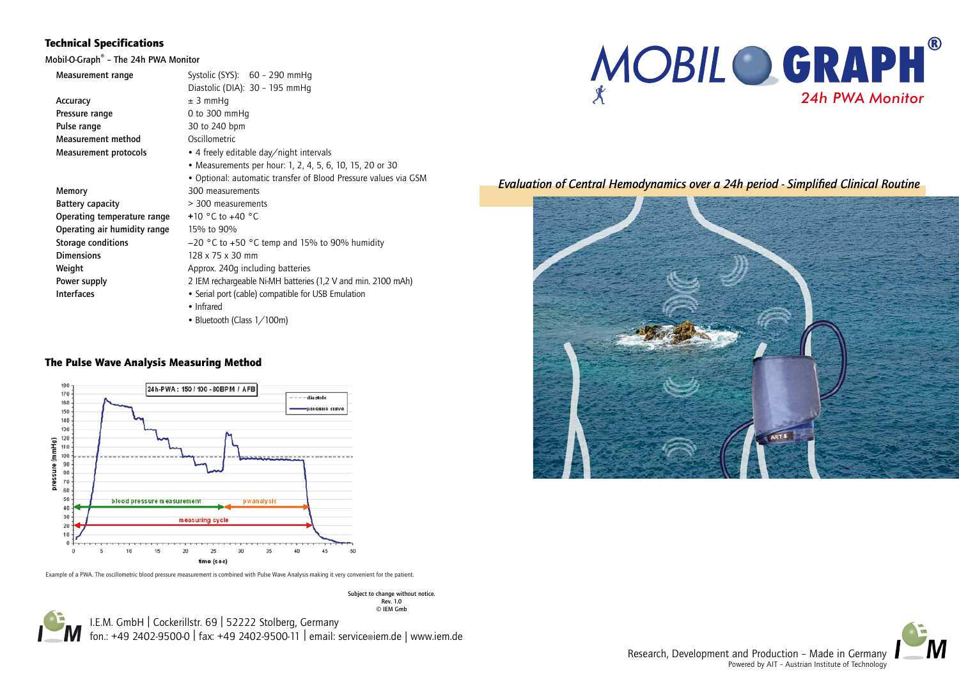

| Measurement range            | Systolic (SYS): 60 - 290 mmHq                                   |
|------------------------------|-----------------------------------------------------------------|
|                              | Diastolic (DIA): 30 - 195 mmHq                                  |
| Accuracy                     | $± 3$ mmHq                                                      |
| Pressure range               | 0 to $300 \text{ mmHq}$                                         |
| Pulse range                  | 30 to 240 bpm                                                   |
| Measurement method           | Oscillometric                                                   |
| <b>Measurement protocols</b> | • 4 freely editable day/night intervals                         |
|                              | • Measurements per hour: 1, 2, 4, 5, 6, 10, 15, 20 or 30        |
|                              | • Optional: automatic transfer of Blood Pressure values via GSM |
| Memory                       | 300 measurements                                                |
| <b>Battery capacity</b>      | > 300 measurements                                              |
| Operating temperature range  | +10 $^{\circ}$ C to +40 $^{\circ}$ C                            |
| Operating air humidity range | 15% to 90%                                                      |
| Storage conditions           | $-20$ °C to $+50$ °C temp and 15% to 90% humidity               |
| <b>Dimensions</b>            | 128 x 75 x 30 mm                                                |
| Weight                       | Approx. 240q including batteries                                |
| Power supply                 | 2 IEM rechargeable Ni-MH batteries (1,2 V and min. 2100 mAh)    |
| <b>Interfaces</b>            | • Serial port (cable) compatible for USB Emulation              |
|                              | • Infrared                                                      |
|                              | • Bluetooth (Class 1/100m)                                      |

I.E.M. GmbH | Cockerillstr. 69 | 52222 Stolberg, Germany fon.: +49 2402-9500-0 | fax: +49 2402-9500-11 | email: service@iem.de | www.iem.de © IEM Gmb

# Technical Specifications

Mobil-O-Graph® – The 24h PWA Monitor

*Evaluation of Central Hemodynamics over a 24h period - Simplified Clinical Routine*





Research, Development and Production – Made in Germany Powered by AIT – Austrian Institute of Technology

Subject to change without notice. Rev. 1.0

# The Pulse Wave Analysis Measuring Method



Example of a PWA. The oscillometric blood pressure measurement is combined with Pulse Wave Analysis making it very convenient for the patient.